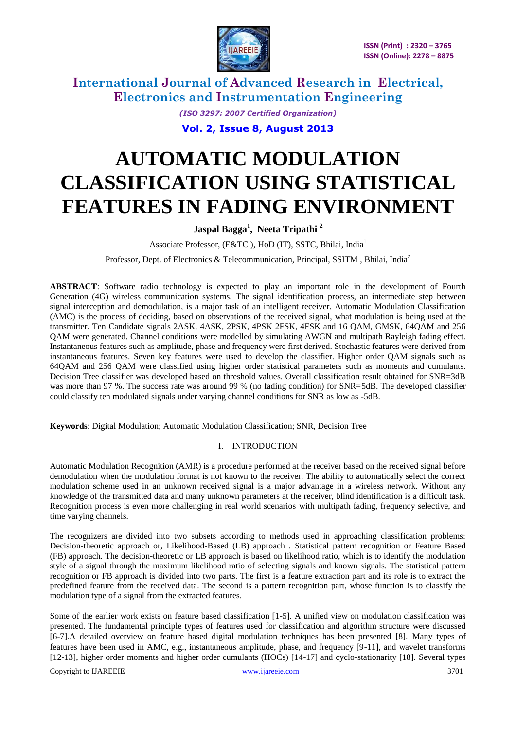

> *(ISO 3297: 2007 Certified Organization)* **Vol. 2, Issue 8, August 2013**

# **AUTOMATIC MODULATION CLASSIFICATION USING STATISTICAL FEATURES IN FADING ENVIRONMENT**

**Jaspal Bagga<sup>1</sup> , Neeta Tripathi <sup>2</sup>**

Associate Professor, (E&TC ), HoD (IT), SSTC, Bhilai, India<sup>1</sup>

Professor, Dept. of Electronics & Telecommunication, Principal, SSITM , Bhilai, India<sup>2</sup>

**ABSTRACT**: Software radio technology is expected to play an important role in the development of Fourth Generation (4G) wireless communication systems. The signal identification process, an intermediate step between signal interception and demodulation, is a major task of an intelligent receiver. Automatic Modulation Classification (AMC) is the process of deciding, based on observations of the received signal, what modulation is being used at the transmitter. Ten Candidate signals 2ASK, 4ASK, 2PSK, 4PSK 2FSK, 4FSK and 16 QAM, GMSK, 64QAM and 256 QAM were generated. Channel conditions were modelled by simulating AWGN and multipath Rayleigh fading effect. Instantaneous features such as amplitude, phase and frequency were first derived. Stochastic features were derived from instantaneous features. Seven key features were used to develop the classifier. Higher order QAM signals such as 64QAM and 256 QAM were classified using higher order statistical parameters such as moments and cumulants. Decision Tree classifier was developed based on threshold values. Overall classification result obtained for SNR=3dB was more than 97 %. The success rate was around 99 % (no fading condition) for SNR=5dB. The developed classifier could classify ten modulated signals under varying channel conditions for SNR as low as -5dB.

**Keywords**: Digital Modulation; Automatic Modulation Classification; SNR, Decision Tree

#### I. INTRODUCTION

Automatic Modulation Recognition (AMR) is a procedure performed at the receiver based on the received signal before demodulation when the modulation format is not known to the receiver. The ability to automatically select the correct modulation scheme used in an unknown received signal is a major advantage in a wireless network. Without any knowledge of the transmitted data and many unknown parameters at the receiver, blind identification is a difficult task. Recognition process is even more challenging in real world scenarios with multipath fading, frequency selective, and time varying channels.

The recognizers are divided into two subsets according to methods used in approaching classification problems: Decision-theoretic approach or, Likelihood-Based (LB) approach . Statistical pattern recognition or Feature Based (FB) approach. The decision-theoretic or LB approach is based on likelihood ratio, which is to identify the modulation style of a signal through the maximum likelihood ratio of selecting signals and known signals. The statistical pattern recognition or FB approach is divided into two parts. The first is a feature extraction part and its role is to extract the predefined feature from the received data. The second is a pattern recognition part, whose function is to classify the modulation type of a signal from the extracted features.

Copyright to IJAREEIE [www.ijareeie.com](http://www.ijareeie.com/) 3701 Some of the earlier work exists on feature based classification [1-5]. A unified view on modulation classification was presented. The fundamental principle types of features used for classification and algorithm structure were discussed [6-7].A detailed overview on feature based digital modulation techniques has been presented [8]. Many types of features have been used in AMC, e.g., instantaneous amplitude, phase, and frequency [9-11], and wavelet transforms [12-13], higher order moments and higher order cumulants (HOCs) [14-17] and cyclo-stationarity [18]. Several types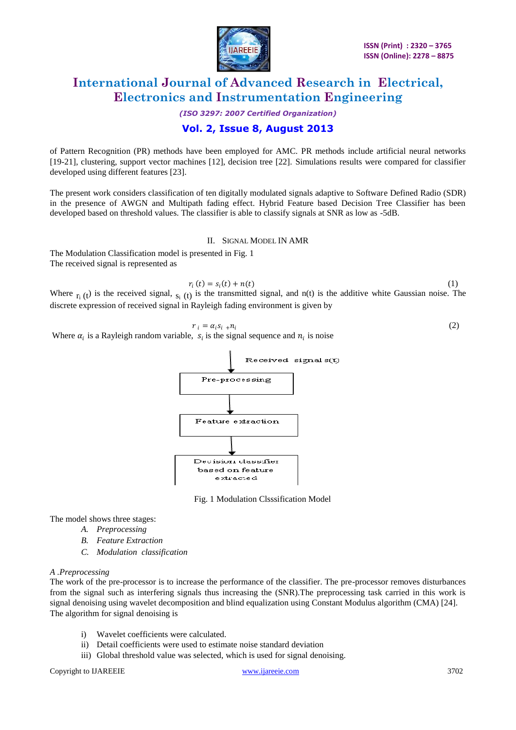

### *(ISO 3297: 2007 Certified Organization)* **Vol. 2, Issue 8, August 2013**

#### of Pattern Recognition (PR) methods have been employed for AMC. PR methods include artificial neural networks [19-21], clustering, support vector machines [12], decision tree [22]. Simulations results were compared for classifier developed using different features [23].

The present work considers classification of ten digitally modulated signals adaptive to Software Defined Radio (SDR) in the presence of AWGN and Multipath fading effect. Hybrid Feature based Decision Tree Classifier has been developed based on threshold values. The classifier is able to classify signals at SNR as low as -5dB.

#### II. SIGNAL MODEL IN AMR

The Modulation Classification model is presented in Fig. 1 The received signal is represented as

$$
r_i(t) = s_i(t) + n(t) \tag{1}
$$

Where  $r_i(t)$  is the received signal,  $s_i(t)$  is the transmitted signal, and n(t) is the additive white Gaussian noise. The discrete expression of received signal in Rayleigh fading environment is given by

$$
r_i = \alpha_i s_i + n_i
$$
Where  $\alpha_i$  is a Rayleigh random variable,  $s_i$  is the signal sequence and  $n_i$  is noise



Fig. 1 Modulation Clsssification Model

The model shows three stages:

- *A. Preprocessing*
- *B. Feature Extraction*
- *C. Modulation classification*

#### *A .Preprocessing*

The work of the pre-processor is to increase the performance of the classifier. The pre-processor removes disturbances from the signal such as interfering signals thus increasing the (SNR).The preprocessing task carried in this work is signal denoising using wavelet decomposition and blind equalization using Constant Modulus algorithm (CMA) [24]. The algorithm for signal denoising is

- i) Wavelet coefficients were calculated.
- ii) Detail coefficients were used to estimate noise standard deviation
- iii) Global threshold value was selected, which is used for signal denoising.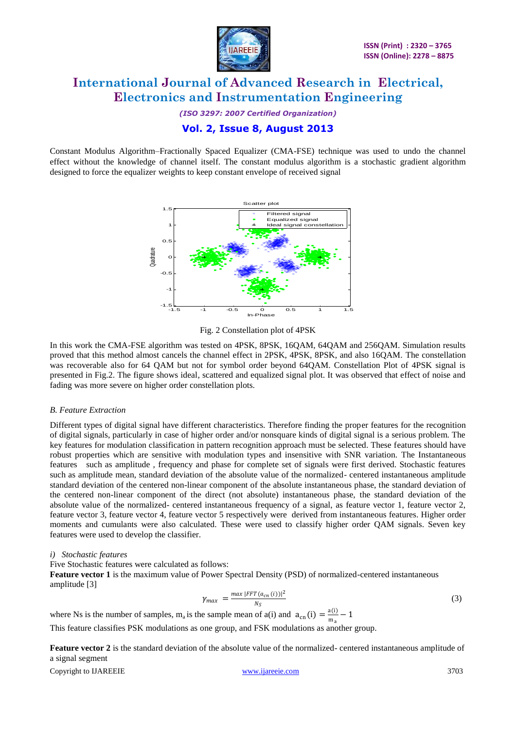

*(ISO 3297: 2007 Certified Organization)* **Vol. 2, Issue 8, August 2013**

Constant Modulus Algorithm–Fractionally Spaced Equalizer (CMA-FSE) technique was used to undo the channel effect without the knowledge of channel itself. The constant modulus algorithm is a stochastic gradient algorithm designed to force the equalizer weights to keep constant envelope of received signal



Fig. 2 Constellation plot of 4PSK

In this work the CMA-FSE algorithm was tested on 4PSK, 8PSK, 16QAM, 64QAM and 256QAM. Simulation results proved that this method almost cancels the channel effect in 2PSK, 4PSK, 8PSK, and also 16QAM. The constellation was recoverable also for 64 QAM but not for symbol order beyond 64QAM. Constellation Plot of 4PSK signal is presented in Fig.2. The figure shows ideal, scattered and equalized signal plot. It was observed that effect of noise and fading was more severe on higher order constellation plots.

#### *B. Feature Extraction*

Different types of digital signal have different characteristics. Therefore finding the proper features for the recognition of digital signals, particularly in case of higher order and/or nonsquare kinds of digital signal is a serious problem. The key features for modulation classification in pattern recognition approach must be selected. These features should have robust properties which are sensitive with modulation types and insensitive with SNR variation. The Instantaneous features such as amplitude , frequency and phase for complete set of signals were first derived. Stochastic features such as amplitude mean, standard deviation of the absolute value of the normalized- centered instantaneous amplitude standard deviation of the centered non-linear component of the absolute instantaneous phase, the standard deviation of the centered non-linear component of the direct (not absolute) instantaneous phase, the standard deviation of the absolute value of the normalized- centered instantaneous frequency of a signal, as feature vector 1, feature vector 2, feature vector 3, feature vector 4, feature vector 5 respectively were derived from instantaneous features. Higher order moments and cumulants were also calculated. These were used to classify higher order QAM signals. Seven key features were used to develop the classifier.

#### *i) Stochastic features*

Five Stochastic features were calculated as follows:

**Feature vector 1** is the maximum value of Power Spectral Density (PSD) of normalized-centered instantaneous amplitude [3]

$$
\gamma_{max} = \frac{\max |FFT(a_{cn}(i))|^2}{N_S} \tag{3}
$$

where Ns is the number of samples,  $m_a$  is the sample mean of a(i) and  $a_{cn}(i) = \frac{a(i)}{m}$  $\frac{d(u)}{m_a} - 1$ 

This feature classifies PSK modulations as one group, and FSK modulations as another group.

**Feature vector 2** is the standard deviation of the absolute value of the normalized- centered instantaneous amplitude of a signal segment

Copyright to IJAREEIE [www.ijareeie.com](http://www.ijareeie.com/) 3703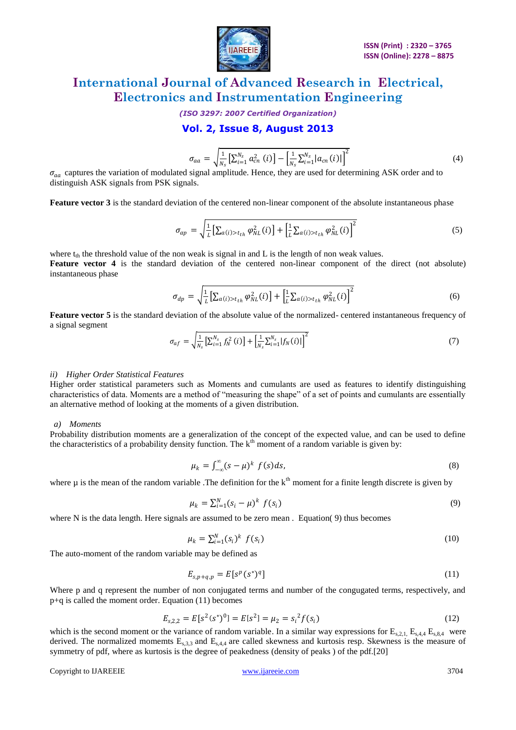

*(ISO 3297: 2007 Certified Organization)*

### **Vol. 2, Issue 8, August 2013**

$$
\sigma_{aa} = \sqrt{\frac{1}{N_s} \left[ \sum_{i=1}^{N_s} a_{cn}^2 \left( i \right) \right] - \left[ \frac{1}{N_s} \sum_{i=1}^{N_s} |a_{cn}(i)| \right]^2} \tag{4}
$$

 $\sigma_{aa}$  captures the variation of modulated signal amplitude. Hence, they are used for determining ASK order and to distinguish ASK signals from PSK signals.

**Feature vector 3** is the standard deviation of the centered non-linear component of the absolute instantaneous phase

$$
\sigma_{ap} = \sqrt{\frac{1}{L} \left[ \sum_{a(i) > t_{th}} \varphi_{NL}^2(i) \right] + \left[ \frac{1}{L} \sum_{a(i) > t_{th}} \varphi_{NL}^2(i) \right]^2}
$$
(5)

where  $t<sub>th</sub>$  the threshold value of the non weak is signal in and L is the length of non weak values. **Feature vector 4** is the standard deviation of the centered non-linear component of the direct (not absolute) instantaneous phase

$$
\sigma_{dp} = \sqrt{\frac{1}{L} \left[ \sum_{a(i) > t_{th}} \varphi_{NL}^2(i) \right] + \left[ \frac{1}{L} \sum_{a(i) > t_{th}} \varphi_{NL}^2(i) \right]^2}
$$
(6)

**Feature vector 5** is the standard deviation of the absolute value of the normalized- centered instantaneous frequency of a signal segment

$$
\sigma_{af} = \sqrt{\frac{1}{N_s} \left[ \sum_{i=1}^{N_s} f_N^2(i) \right] + \left[ \frac{1}{N_s} \sum_{i=1}^{N_s} |f_N(i)| \right]^2} \tag{7}
$$

#### *ii) Higher Order Statistical Features*

Higher order statistical parameters such as Moments and cumulants are used as features to identify distinguishing characteristics of data. Moments are a method of "measuring the shape" of a set of points and cumulants are essentially an alternative method of looking at the moments of a given distribution.

#### *a) Moments*

Probability distribution moments are a generalization of the concept of the expected value, and can be used to define the characteristics of a probability density function. The  $k<sup>th</sup>$  moment of a random variable is given by:

$$
\mu_k = \int_{-\infty}^{\infty} (s - \mu)^k f(s) ds, \tag{8}
$$

where  $\mu$  is the mean of the random variable. The definition for the  $k^{\text{th}}$  moment for a finite length discrete is given by

$$
\mu_k = \sum_{i=1}^N (s_i - \mu)^k f(s_i) \tag{9}
$$

where N is the data length. Here signals are assumed to be zero mean. Equation(9) thus becomes

$$
\mu_k = \sum_{i=1}^N (s_i)^k f(s_i) \tag{10}
$$

The auto-moment of the random variable may be defined as

$$
E_{s,p+q,p} = E[s^p(s^*)^q]
$$
\n<sup>(11)</sup>

Where p and q represent the number of non conjugated terms and number of the congugated terms, respectively, and p+q is called the moment order. Equation (11) becomes

$$
E_{s,2,2} = E[s^2(s^*)^0] = E[s^2] = \mu_2 = s_i^2 f(s_i)
$$
\n(12)

which is the second moment or the variance of random variable. In a similar way expressions for  $E_{s,2,1}$ ,  $E_{s,4,4}$ ,  $E_{s,8,4}$  were derived. The normalized momemts  $E_{s,3}$  and  $E_{s,4}$  are called skewness and kurtosis resp. Skewness is the measure of symmetry of pdf, where as kurtosis is the degree of peakedness (density of peaks ) of the pdf.[20]

Copyright to IJAREEIE [www.ijareeie.com](http://www.ijareeie.com/) 3704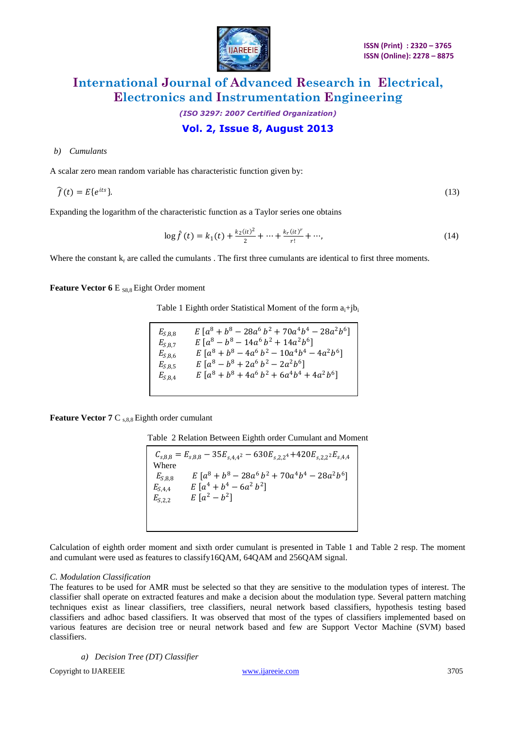

### *(ISO 3297: 2007 Certified Organization)* **Vol. 2, Issue 8, August 2013**

#### *b) Cumulants*

A scalar zero mean random variable has characteristic function given by:

$$
\widehat{f}(t) = E\{e^{its}\}.\tag{13}
$$

Expanding the logarithm of the characteristic function as a Taylor series one obtains

$$
\log \hat{f}(t) = k_1(t) + \frac{k_2(it)^2}{2} + \dots + \frac{k_r(it)^r}{r!} + \dots,
$$
\n(14)

Where the constant  $k_r$  are called the cumulants . The first three cumulants are identical to first three moments.

**Feature Vector 6 E S8.8 Eight Order moment** 

Table 1 Eighth order Statistical Moment of the form  $a_i+jb_i$ 

| $E_{S,8,8}$ | $E[a^8+b^8-28a^6b^2+70a^4b^4-28a^2b^6]$          |
|-------------|--------------------------------------------------|
| $E_{S,8,7}$ | $E[a^8-b^8-14a^6b^2+14a^2b^6]$                   |
| $E_{S,8,6}$ | $E[a^8 + b^8 - 4a^6 b^2 - 10a^4 b^4 - 4a^2 b^6]$ |
| $E_{S,8,5}$ | $E[a^8-b^8+2a^6b^2-2a^2b^6]$                     |
| $E_{S,8,4}$ | $E[a^8 + b^8 + 4a^6 b^2 + 6a^4 b^4 + 4a^2 b^6]$  |
|             |                                                  |

**Feature Vector 7 C s,8,8 Eighth order cumulant** 

Table 2 Relation Between Eighth order Cumulant and Moment

 $E_{S,8,8}$   $E [a^8 + b^8 - 28a^6 b^2 + 70a^4 b^4 - 28a^2 b^6]$  $E_{S,4,4}$   $E\left[a^4 + b^4 - 6a^2b^2\right]$  $E_{S,2,2}$   $E[a^2-b^2]$  $C_{s,8,8} = E_{s,8,8} - 35E_{s,4,4}^2 - 630E_{s,2,2}^2 + 420E_{s,2,2}^2E_{s,4,4}$ Where

Calculation of eighth order moment and sixth order cumulant is presented in Table 1 and Table 2 resp. The moment and cumulant were used as features to classify16QAM, 64QAM and 256QAM signal.

#### *C. Modulation Classification*

The features to be used for AMR must be selected so that they are sensitive to the modulation types of interest. The classifier shall operate on extracted features and make a decision about the modulation type. Several pattern matching techniques exist as linear classifiers, tree classifiers, neural network based classifiers, hypothesis testing based classifiers and adhoc based classifiers. It was observed that most of the types of classifiers implemented based on various features are decision tree or neural network based and few are Support Vector Machine (SVM) based classifiers.

*a) Decision Tree (DT) Classifier*

Copyright to IJAREEIE [www.ijareeie.com](http://www.ijareeie.com/) 3705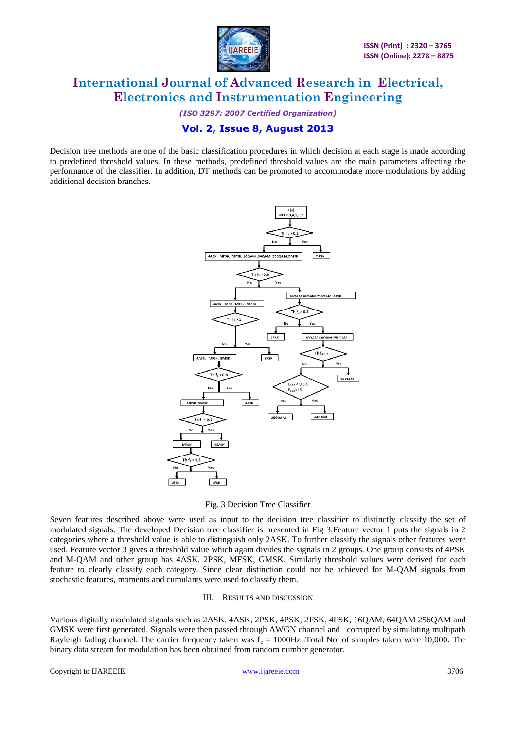

*(ISO 3297: 2007 Certified Organization)*

### **Vol. 2, Issue 8, August 2013**

Decision tree methods are one of the basic classification procedures in which decision at each stage is made according to predefined threshold values. In these methods, predefined threshold values are the main parameters affecting the performance of the classifier. In addition, DT methods can be promoted to accommodate more modulations by adding additional decision branches.



Fig. 3 Decision Tree Classifier

Seven features described above were used as input to the decision tree classifier to distinctly classify the set of modulated signals. The developed Decision tree classifier is presented in Fig 3.Feature vector 1 puts the signals in 2 categories where a threshold value is able to distinguish only 2ASK. To further classify the signals other features were used. Feature vector 3 gives a threshold value which again divides the signals in 2 groups. One group consists of 4PSK and M-QAM and other group has 4ASK, 2PSK, MFSK, GMSK. Similarly threshold values were derived for each feature to clearly classify each category. Since clear distinction could not be achieved for M-QAM signals from stochastic features, moments and cumulants were used to classify them.

#### III. RESULTS AND DISCUSSION

Various digitally modulated signals such as 2ASK, 4ASK, 2PSK, 4PSK, 2FSK, 4FSK, 16QAM, 64QAM 256QAM and GMSK were first generated. Signals were then passed through AWGN channel and corrupted by simulating multipath Rayleigh fading channel. The carrier frequency taken was  $f_c = 1000 Hz$  . Total No. of samples taken were 10,000. The binary data stream for modulation has been obtained from random number generator.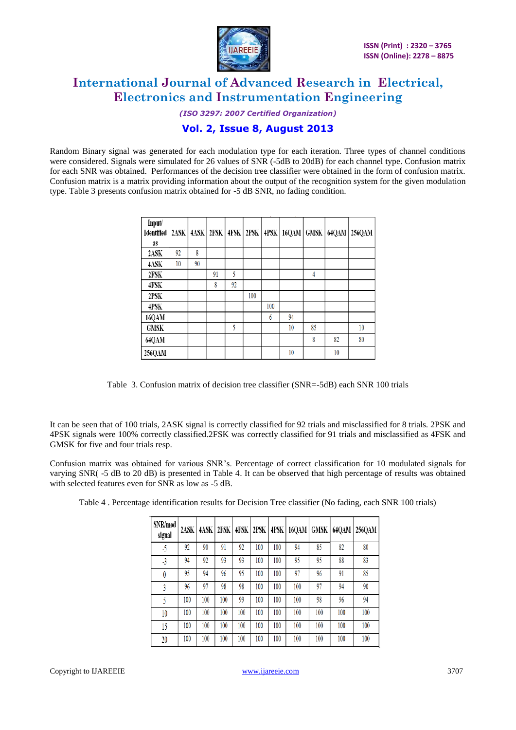

*(ISO 3297: 2007 Certified Organization)* **Vol. 2, Issue 8, August 2013**

Random Binary signal was generated for each modulation type for each iteration. Three types of channel conditions were considered. Signals were simulated for 26 values of SNR (-5dB to 20dB) for each channel type. Confusion matrix for each SNR was obtained. Performances of the decision tree classifier were obtained in the form of confusion matrix. Confusion matrix is a matrix providing information about the output of the recognition system for the given modulation

type. Table 3 presents confusion matrix obtained for -5 dB SNR, no fading condition.

| Input/<br><b>I</b> dentified<br><b>as</b> | 2ASK | 4ASK | 2FSK | 4FSK | 2PSK | 4PSK | 16QAM | <b>GMSK</b> | 64QAM | 256QAM |
|-------------------------------------------|------|------|------|------|------|------|-------|-------------|-------|--------|
| 2ASK                                      | 92   | 8    |      |      |      |      |       |             |       |        |
| 4ASK                                      | 10   | 90   |      |      |      |      |       |             |       |        |
| 2FSK                                      |      |      | 91   | 5    |      |      |       | 4           |       |        |
| 4FSK                                      |      |      | 8    | 92   |      |      |       |             |       |        |
| 2PSK                                      |      |      |      |      | 100  |      |       |             |       |        |
| 4PSK                                      |      |      |      |      |      | 100  |       |             |       |        |
| 16QAM                                     |      |      |      |      |      | 6    | 94    |             |       |        |
| <b>GMSK</b>                               |      |      |      | 5    |      |      | 10    | 85          |       | 10     |
| 64QAM                                     |      |      |      |      |      |      |       | 8           | 82    | 80     |
| 256QAM                                    |      |      |      |      |      |      | 10    |             | 10    |        |

Table 3. Confusion matrix of decision tree classifier (SNR=-5dB) each SNR 100 trials

It can be seen that of 100 trials, 2ASK signal is correctly classified for 92 trials and misclassified for 8 trials. 2PSK and 4PSK signals were 100% correctly classified.2FSK was correctly classified for 91 trials and misclassified as 4FSK and GMSK for five and four trials resp.

Confusion matrix was obtained for various SNR's. Percentage of correct classification for 10 modulated signals for varying SNR( -5 dB to 20 dB) is presented in Table 4. It can be observed that high percentage of results was obtained with selected features even for SNR as low as -5 dB.

| SNR/mod<br>signal | 2ASK | 4ASK | $2$ FSK |     | 4FSK 2PSK |     | $ $ 4PSK   16QAM | <b>GMSK</b> | 64QAM | 256QAM |
|-------------------|------|------|---------|-----|-----------|-----|------------------|-------------|-------|--------|
| -5                | 92   | 90   | 91      | 92  | 100       | 100 | 94               | 85          | 82    | 80     |
| $-3$              | 94   | 92   | 93      | 93  | 100       | 100 | 95               | 95          | 88    | 83     |
| 0                 | 95   | 94   | 96      | 95  | 100       | 100 | 97               | 96          | 91    | 85     |
| 3                 | 96   | 97   | 98      | 98  | 100       | 100 | 100              | 97          | 94    | 90     |
| 5                 | 100  | 100  | 100     | 99  | 100       | 100 | 100              | 98          | 96    | 94     |
| 10                | 100  | 100  | 100     | 100 | 100       | 100 | 100              | 100         | 100   | 100    |
| 15                | 100  | 100  | 100     | 100 | 100       | 100 | 100              | 100         | 100   | 100    |
| 20                | 100  | 100  | 100     | 100 | 100       | 100 | 100              | 100         | 100   | 100    |

Table 4 . Percentage identification results for Decision Tree classifier (No fading, each SNR 100 trials)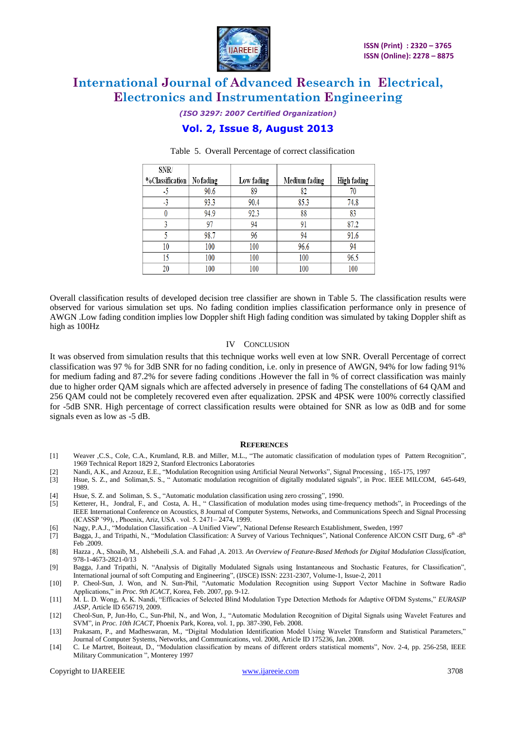

*(ISO 3297: 2007 Certified Organization)*

### **Vol. 2, Issue 8, August 2013**

| SNR/            |           |            |               |             |
|-----------------|-----------|------------|---------------|-------------|
| %Classification | No fading | Low fading | Medium fading | High fading |
| -5              | 90.6      | 89         | 82            |             |
| -3              | 93.3      | 90.4       | 85.3          | 74.8        |
| $^{0}$          | 94.9      | 92.3       | 88            | 83          |
|                 | 97        | 94         | 91            | 87.2        |
|                 | 98.7      | 96         | 94            | 91.6        |
| 10              | 100       | 100        | 96.6          | 94          |
| 15              | 100       | 100        | 100           | 96.5        |
| 20              | 100       | 100        | 100           | 100         |

#### Table 5. Overall Percentage of correct classification

Overall classification results of developed decision tree classifier are shown in Table 5. The classification results were observed for various simulation set ups. No fading condition implies classification performance only in presence of AWGN .Low fading condition implies low Doppler shift High fading condition was simulated by taking Doppler shift as high as 100Hz

#### IV CONCLUSION

It was observed from simulation results that this technique works well even at low SNR. Overall Percentage of correct classification was 97 % for 3dB SNR for no fading condition, i.e. only in presence of AWGN, 94% for low fading 91% for medium fading and 87.2% for severe fading conditions .However the fall in % of correct classification was mainly due to higher order QAM signals which are affected adversely in presence of fading The constellations of 64 QAM and 256 QAM could not be completely recovered even after equalization. 2PSK and 4PSK were 100% correctly classified for -5dB SNR. High percentage of correct classification results were obtained for SNR as low as 0dB and for some signals even as low as -5 dB.

#### **REFERENCES**

- [1] Weaver ,C.S., Cole, C.A., Krumland, R.B. and Miller, M.L., "The automatic classification of modulation types of Pattern Recognition", 1969 Technical Report 1829 2, Stanford Electronics Laboratories
- [2] Nandi, A.K., and Azzouz, E.E., "Modulation Recognition using Artificial Neural Networks", Signal Processing , 165-175, 1997
- [3] Hsue, S. Z., and Soliman,S. S., " Automatic modulation recognition of digitally modulated signals"*,* in Proc. IEEE MILCOM, 645-649, 1989.
- [4] Hsue, S. Z. and Soliman, S. S., "Automatic modulation classification using zero crossing", 1990.
- [5] Ketterer, H., Jondral, F., and Costa, A. H., " Classification of modulation modes using time-frequency methods", in Proceedings of the IEEE International Conference on Acoustics, 8 Journal of Computer Systems, Networks, and Communications Speech and Signal Processing (ICASSP '99), , Phoenix, Ariz, USA . vol. 5. 2471– 2474, 1999.
- [6] Nagy, P.A.J., "Modulation Classification –A Unified View"*,* National Defense Research Establishment, Sweden, 1997
- [7] Bagga, J., and Tripathi, N., "Modulation Classification: A Survey of Various Techniques", National Conference AICON CSIT Durg, 6<sup>th</sup> -8<sup>th</sup> Feb 2009
- [8] Hazza , A., Shoaib, M., Alshebeili ,S.A. and Fahad ,A. 2013. *An Overview of Feature-Based Methods for Digital Modulation Classification,* 978-1-4673-2821-0/13
- [9] Bagga, J.and Tripathi, N. "Analysis of Digitally Modulated Signals using Instantaneous and Stochastic Features, for Classification", International journal of soft Computing and Engineering", (IJSCE) ISSN: 2231-2307, Volume-1, Issue-2, 2011
- [10] P. Cheol-Sun, J. Won, and N. Sun-Phil, "Automatic Modulation Recognition using Support Vector Machine in Software Radio Applications," in *Proc. 9th ICACT*, Korea, Feb. 2007, pp. 9-12.
- [11] M. L. D. Wong, A. K. Nandi, "Efficacies of Selected Blind Modulation Type Detection Methods for Adaptive OFDM Systems," *EURASIP JASP*, Article ID 656719, 2009.
- [12] Cheol-Sun, P, Jun-Ho, C., Sun-Phil, N., and Won, J., "Automatic Modulation Recognition of Digital Signals using Wavelet Features and SVM", in *Proc. 10th ICACT*, Phoenix Park, Korea, vol. 1, pp. 387-390, Feb. 2008.
- [13] Prakasam, P., and Madheswaran, M., "Digital Modulation Identification Model Using Wavelet Transform and Statistical Parameters," Journal of Computer Systems, Networks, and Communications, vol. 2008, Article ID 175236, Jan. 2008.
- [14] C. Le Martret, Boiteaut, D., "Modulation classification by means of different orders statistical moments", Nov. 2-4, pp. 256-258, IEEE Military Communication ", Monterey 1997